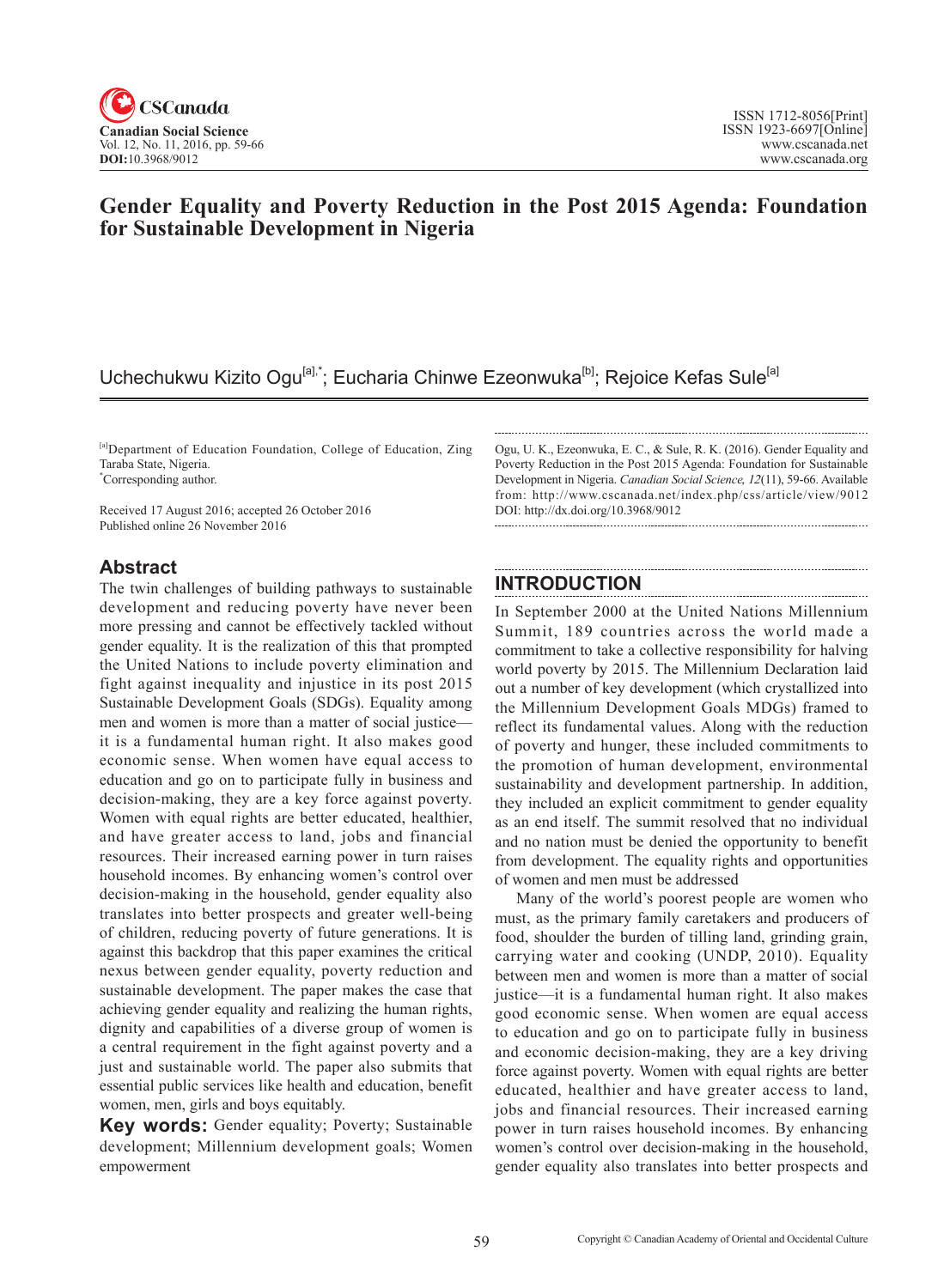

# **Gender Equality and Poverty Reduction in the Post 2015 Agenda: Foundation for Sustainable Development in Nigeria**

# Uchechukwu Kizito Ogu<sup>[a],\*</sup>; Eucharia Chinwe Ezeonwuka<sup>[b]</sup>; Rejoice Kefas Sule<sup>[a]</sup>

[a]Department of Education Foundation, College of Education, Zing Taraba State, Nigeria.

\* Corresponding author.

Received 17 August 2016; accepted 26 October 2016 Published online 26 November 2016

### **Abstract**

The twin challenges of building pathways to sustainable development and reducing poverty have never been more pressing and cannot be effectively tackled without gender equality. It is the realization of this that prompted the United Nations to include poverty elimination and fight against inequality and injustice in its post 2015 Sustainable Development Goals (SDGs). Equality among men and women is more than a matter of social justice it is a fundamental human right. It also makes good economic sense. When women have equal access to education and go on to participate fully in business and decision-making, they are a key force against poverty. Women with equal rights are better educated, healthier, and have greater access to land, jobs and financial resources. Their increased earning power in turn raises household incomes. By enhancing women's control over decision-making in the household, gender equality also translates into better prospects and greater well-being of children, reducing poverty of future generations. It is against this backdrop that this paper examines the critical nexus between gender equality, poverty reduction and sustainable development. The paper makes the case that achieving gender equality and realizing the human rights, dignity and capabilities of a diverse group of women is a central requirement in the fight against poverty and a just and sustainable world. The paper also submits that essential public services like health and education, benefit women, men, girls and boys equitably.

**Key words:** Gender equality; Poverty; Sustainable development; Millennium development goals; Women empowerment

Ogu, U. K., Ezeonwuka, E. C., & Sule, R. K. (2016). Gender Equality and Poverty Reduction in the Post 2015 Agenda: Foundation for Sustainable Development in Nigeria. *Canadian Social Science*, <sup>12</sup>(11), 59-66. Available from: http://www.cscanada.net/index.php/css/article/view/9012 DOI: http://dx.doi.org/10.3968/9012

## **INTRODUCTION**

In September 2000 at the United Nations Millennium Summit, 189 countries across the world made a commitment to take a collective responsibility for halving world poverty by 2015. The Millennium Declaration laid out a number of key development (which crystallized into the Millennium Development Goals MDGs) framed to reflect its fundamental values. Along with the reduction of poverty and hunger, these included commitments to the promotion of human development, environmental sustainability and development partnership. In addition, they included an explicit commitment to gender equality as an end itself. The summit resolved that no individual and no nation must be denied the opportunity to benefit from development. The equality rights and opportunities of women and men must be addressed

Many of the world's poorest people are women who must, as the primary family caretakers and producers of food, shoulder the burden of tilling land, grinding grain, carrying water and cooking (UNDP, 2010). Equality between men and women is more than a matter of social justice—it is a fundamental human right. It also makes good economic sense. When women are equal access to education and go on to participate fully in business and economic decision-making, they are a key driving force against poverty. Women with equal rights are better educated, healthier and have greater access to land, jobs and financial resources. Their increased earning power in turn raises household incomes. By enhancing women's control over decision-making in the household, gender equality also translates into better prospects and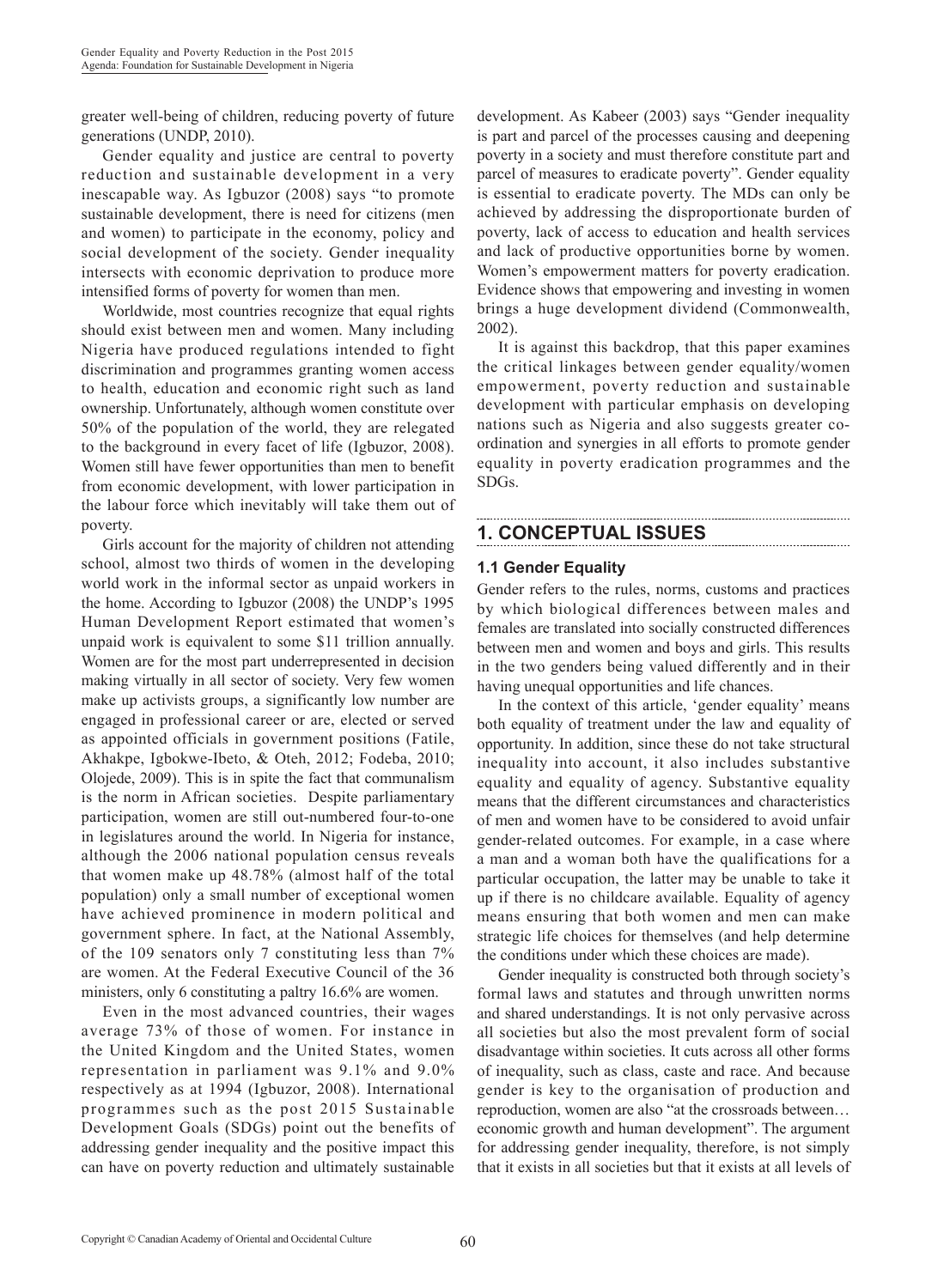greater well-being of children, reducing poverty of future generations (UNDP, 2010).

Gender equality and justice are central to poverty reduction and sustainable development in a very inescapable way. As Igbuzor (2008) says "to promote sustainable development, there is need for citizens (men and women) to participate in the economy, policy and social development of the society. Gender inequality intersects with economic deprivation to produce more intensified forms of poverty for women than men.

Worldwide, most countries recognize that equal rights should exist between men and women. Many including Nigeria have produced regulations intended to fight discrimination and programmes granting women access to health, education and economic right such as land ownership. Unfortunately, although women constitute over 50% of the population of the world, they are relegated to the background in every facet of life (Igbuzor, 2008). Women still have fewer opportunities than men to benefit from economic development, with lower participation in the labour force which inevitably will take them out of poverty.

Girls account for the majority of children not attending school, almost two thirds of women in the developing world work in the informal sector as unpaid workers in the home. According to Igbuzor (2008) the UNDP's 1995 Human Development Report estimated that women's unpaid work is equivalent to some \$11 trillion annually. Women are for the most part underrepresented in decision making virtually in all sector of society. Very few women make up activists groups, a significantly low number are engaged in professional career or are, elected or served as appointed officials in government positions (Fatile, Akhakpe, Igbokwe-Ibeto, & Oteh, 2012; Fodeba, 2010; Olojede, 2009). This is in spite the fact that communalism is the norm in African societies. Despite parliamentary participation, women are still out-numbered four-to-one in legislatures around the world. In Nigeria for instance, although the 2006 national population census reveals that women make up 48.78% (almost half of the total population) only a small number of exceptional women have achieved prominence in modern political and government sphere. In fact, at the National Assembly, of the 109 senators only 7 constituting less than 7% are women. At the Federal Executive Council of the 36 ministers, only 6 constituting a paltry 16.6% are women.

Even in the most advanced countries, their wages average 73% of those of women. For instance in the United Kingdom and the United States, women representation in parliament was 9.1% and 9.0% respectively as at 1994 (Igbuzor, 2008). International programmes such as the post 2015 Sustainable Development Goals (SDGs) point out the benefits of addressing gender inequality and the positive impact this can have on poverty reduction and ultimately sustainable

development. As Kabeer (2003) says "Gender inequality is part and parcel of the processes causing and deepening poverty in a society and must therefore constitute part and parcel of measures to eradicate poverty". Gender equality is essential to eradicate poverty. The MDs can only be achieved by addressing the disproportionate burden of poverty, lack of access to education and health services and lack of productive opportunities borne by women. Women's empowerment matters for poverty eradication. Evidence shows that empowering and investing in women brings a huge development dividend (Commonwealth, 2002).

It is against this backdrop, that this paper examines the critical linkages between gender equality/women empowerment, poverty reduction and sustainable development with particular emphasis on developing nations such as Nigeria and also suggests greater coordination and synergies in all efforts to promote gender equality in poverty eradication programmes and the SDGs.

## **1. CONCEPTUAL ISSUES**

#### **1.1 Gender Equality**

Gender refers to the rules, norms, customs and practices by which biological differences between males and females are translated into socially constructed differences between men and women and boys and girls. This results in the two genders being valued differently and in their having unequal opportunities and life chances.

In the context of this article, 'gender equality' means both equality of treatment under the law and equality of opportunity. In addition, since these do not take structural inequality into account, it also includes substantive equality and equality of agency. Substantive equality means that the different circumstances and characteristics of men and women have to be considered to avoid unfair gender-related outcomes. For example, in a case where a man and a woman both have the qualifications for a particular occupation, the latter may be unable to take it up if there is no childcare available. Equality of agency means ensuring that both women and men can make strategic life choices for themselves (and help determine the conditions under which these choices are made).

Gender inequality is constructed both through society's formal laws and statutes and through unwritten norms and shared understandings. It is not only pervasive across all societies but also the most prevalent form of social disadvantage within societies. It cuts across all other forms of inequality, such as class, caste and race. And because gender is key to the organisation of production and reproduction, women are also "at the crossroads between… economic growth and human development". The argument for addressing gender inequality, therefore, is not simply that it exists in all societies but that it exists at all levels of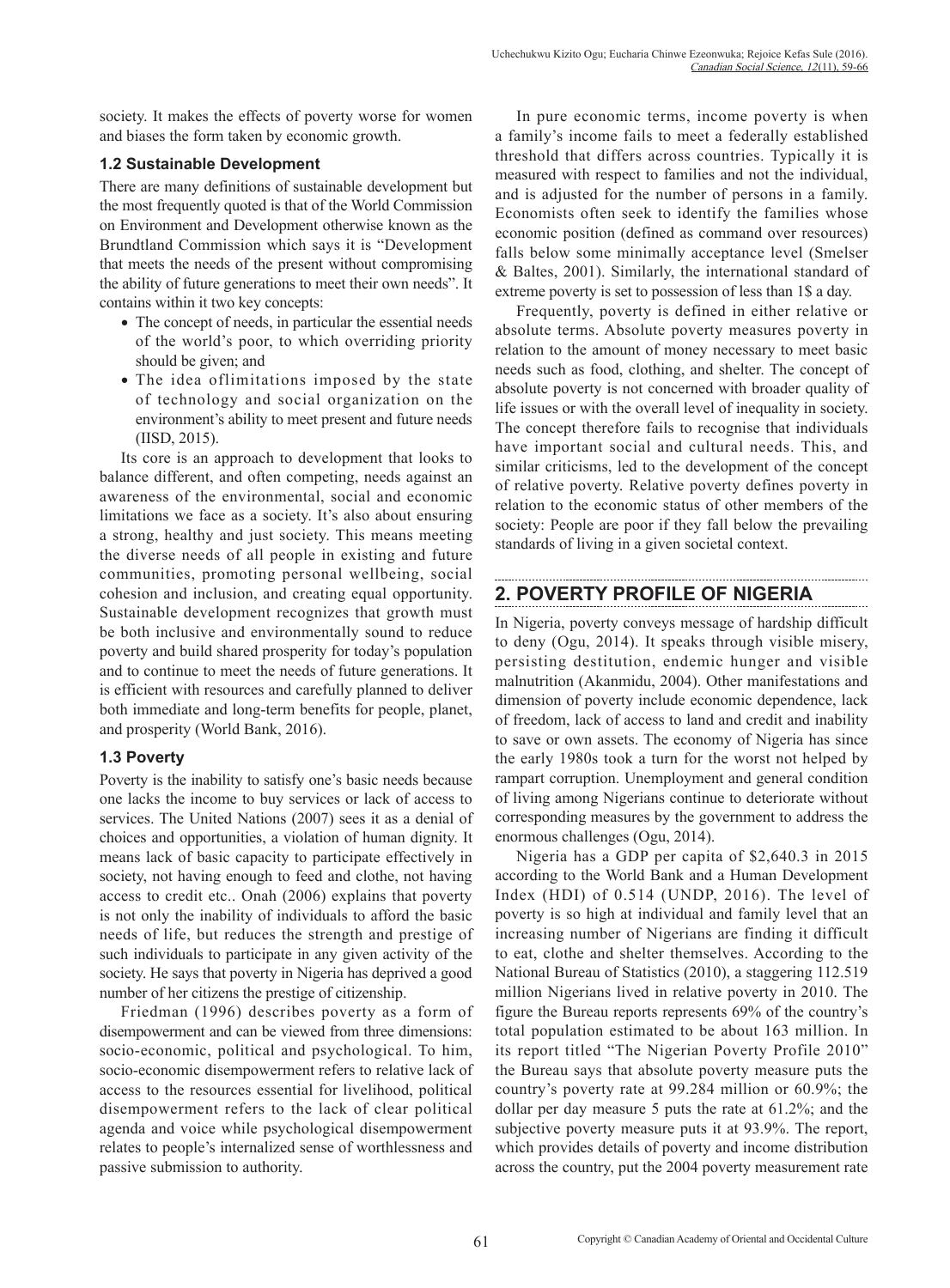society. It makes the effects of poverty worse for women and biases the form taken by economic growth.

### **1.2 Sustainable Development**

There are many definitions of sustainable development but the most frequently quoted is that of the World Commission on Environment and Development otherwise known as the Brundtland Commission which says it is "Development that meets the needs of the present without compromising the ability of future generations to meet their own needs". It contains within it two key concepts:

- The concept of needs, in particular the essential needs of the world's poor, to which overriding priority should be given; and
- The idea oflimitations imposed by the state of technology and social organization on the environment's ability to meet present and future needs (IISD, 2015).

Its core is an approach to development that looks to balance different, and often competing, needs against an awareness of the environmental, social and economic limitations we face as a society. It's also about ensuring a strong, healthy and just society. This means meeting the diverse needs of all people in existing and future communities, promoting personal wellbeing, social cohesion and inclusion, and creating equal opportunity. Sustainable development recognizes that growth must be both inclusive and environmentally sound to reduce poverty and build shared prosperity for today's population and to continue to meet the needs of future generations. It is efficient with resources and carefully planned to deliver both immediate and long-term benefits for people, planet, and prosperity (World Bank, 2016).

## **1.3 Poverty**

Poverty is the inability to satisfy one's basic needs because one lacks the income to buy services or lack of access to services. The United Nations (2007) sees it as a denial of choices and opportunities, a violation of human dignity. It means lack of basic capacity to participate effectively in society, not having enough to feed and clothe, not having access to credit etc.. Onah (2006) explains that poverty is not only the inability of individuals to afford the basic needs of life, but reduces the strength and prestige of such individuals to participate in any given activity of the society. He says that poverty in Nigeria has deprived a good number of her citizens the prestige of citizenship.

Friedman (1996) describes poverty as a form of disempowerment and can be viewed from three dimensions: socio-economic, political and psychological. To him, socio-economic disempowerment refers to relative lack of access to the resources essential for livelihood, political disempowerment refers to the lack of clear political agenda and voice while psychological disempowerment relates to people's internalized sense of worthlessness and passive submission to authority.

In pure economic terms, income poverty is when a family's income fails to meet a federally established threshold that differs across countries. Typically it is measured with respect to families and not the individual, and is adjusted for the number of persons in a family. Economists often seek to identify the families whose economic position (defined as command over resources) falls below some minimally acceptance level (Smelser & Baltes, 2001). Similarly, the international standard of extreme poverty is set to possession of less than 1\$ a day.

Frequently, poverty is defined in either relative or absolute terms. Absolute poverty measures poverty in relation to the amount of money necessary to meet basic needs such as food, clothing, and shelter. The concept of absolute poverty is not concerned with broader quality of life issues or with the overall level of inequality in society. The concept therefore fails to recognise that individuals have important social and cultural needs. This, and similar criticisms, led to the development of the concept of relative poverty. Relative poverty defines poverty in relation to the economic status of other members of the society: People are poor if they fall below the prevailing standards of living in a given societal context.

# **2. POVERTY PROFILE OF NIGERIA**

In Nigeria, poverty conveys message of hardship difficult to deny (Ogu, 2014). It speaks through visible misery, persisting destitution, endemic hunger and visible malnutrition (Akanmidu, 2004). Other manifestations and dimension of poverty include economic dependence, lack of freedom, lack of access to land and credit and inability to save or own assets. The economy of Nigeria has since the early 1980s took a turn for the worst not helped by rampart corruption. Unemployment and general condition of living among Nigerians continue to deteriorate without corresponding measures by the government to address the enormous challenges (Ogu, 2014).

Nigeria has a GDP per capita of \$2,640.3 in 2015 according to the World Bank and a Human Development Index (HDI) of 0.514 (UNDP, 2016). The level of poverty is so high at individual and family level that an increasing number of Nigerians are finding it difficult to eat, clothe and shelter themselves. According to the National Bureau of Statistics (2010), a staggering 112.519 million Nigerians lived in relative poverty in 2010. The figure the Bureau reports represents 69% of the country's total population estimated to be about 163 million. In its report titled "The Nigerian Poverty Profile 2010" the Bureau says that absolute poverty measure puts the country's poverty rate at 99.284 million or 60.9%; the dollar per day measure 5 puts the rate at 61.2%; and the subjective poverty measure puts it at 93.9%. The report, which provides details of poverty and income distribution across the country, put the 2004 poverty measurement rate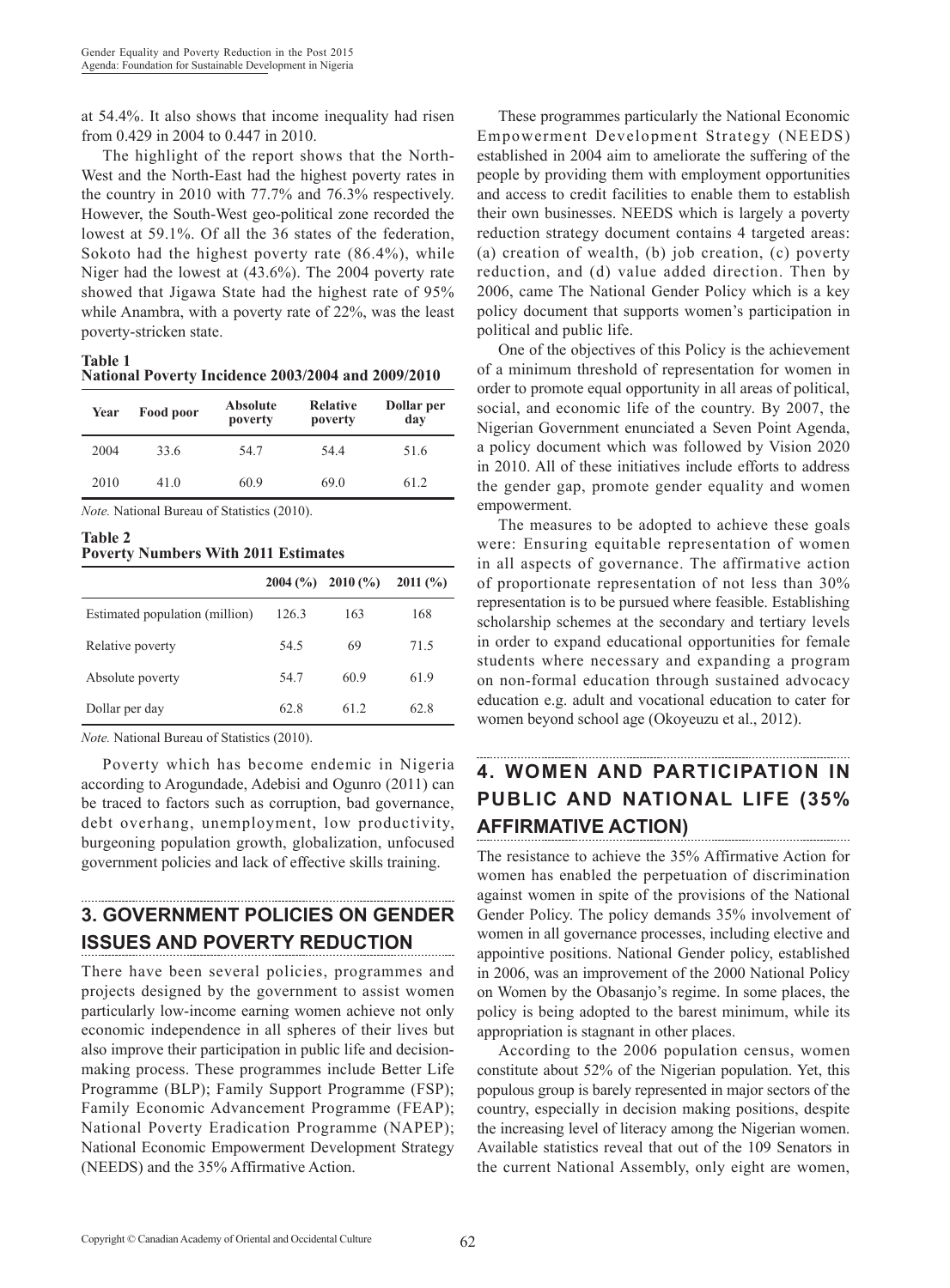at 54.4%. It also shows that income inequality had risen from 0.429 in 2004 to 0.447 in 2010.

The highlight of the report shows that the North-West and the North-East had the highest poverty rates in the country in 2010 with 77.7% and 76.3% respectively. However, the South-West geo-political zone recorded the lowest at 59.1%. Of all the 36 states of the federation, Sokoto had the highest poverty rate (86.4%), while Niger had the lowest at (43.6%). The 2004 poverty rate showed that Jigawa State had the highest rate of 95% while Anambra, with a poverty rate of 22%, was the least poverty-stricken state.

**Table 1 National Poverty Incidence 2003/2004 and 2009/2010**

| Year | Food poor | Absolute<br>poverty | <b>Relative</b><br>poverty | Dollar per<br>day |
|------|-----------|---------------------|----------------------------|-------------------|
| 2004 | 33.6      | 54.7                | 54.4                       | 51.6              |
| 2010 | 41.0      | 60.9                | 69.0                       | 61.2              |

*Note.* National Bureau of Statistics (2010).

**Table 2 Poverty Numbers With 2011 Estimates**

|       | 2010(%) | 2011(%) |
|-------|---------|---------|
| 126.3 | 163     | 168     |
| 54.5  | 69      | 715     |
| 54.7  | 60.9    | 61.9    |
| 62.8  | 61 2    | 62.8    |
|       |         | 2004(%) |

*Note.* National Bureau of Statistics (2010).

Poverty which has become endemic in Nigeria according to Arogundade, Adebisi and Ogunro (2011) can be traced to factors such as corruption, bad governance, debt overhang, unemployment, low productivity, burgeoning population growth, globalization, unfocused government policies and lack of effective skills training.

# **3. GOVERNMENT POLICIES ON GENDER ISSUES AND POVERTY REDUCTION**

There have been several policies, programmes and projects designed by the government to assist women particularly low-income earning women achieve not only economic independence in all spheres of their lives but also improve their participation in public life and decisionmaking process. These programmes include Better Life Programme (BLP); Family Support Programme (FSP); Family Economic Advancement Programme (FEAP); National Poverty Eradication Programme (NAPEP); National Economic Empowerment Development Strategy (NEEDS) and the 35% Affirmative Action.

These programmes particularly the National Economic Empowerment Development Strategy (NEEDS) established in 2004 aim to ameliorate the suffering of the people by providing them with employment opportunities and access to credit facilities to enable them to establish their own businesses. NEEDS which is largely a poverty reduction strategy document contains 4 targeted areas: (a) creation of wealth, (b) job creation, (c) poverty reduction, and (d) value added direction. Then by 2006, came The National Gender Policy which is a key policy document that supports women's participation in political and public life.

One of the objectives of this Policy is the achievement of a minimum threshold of representation for women in order to promote equal opportunity in all areas of political, social, and economic life of the country. By 2007, the Nigerian Government enunciated a Seven Point Agenda, a policy document which was followed by Vision 2020 in 2010. All of these initiatives include efforts to address the gender gap, promote gender equality and women empowerment.

The measures to be adopted to achieve these goals were: Ensuring equitable representation of women in all aspects of governance. The affirmative action of proportionate representation of not less than 30% representation is to be pursued where feasible. Establishing scholarship schemes at the secondary and tertiary levels in order to expand educational opportunities for female students where necessary and expanding a program on non-formal education through sustained advocacy education e.g. adult and vocational education to cater for women beyond school age (Okoyeuzu et al., 2012).

# **4. WOMEN AND PARTICIPATION IN PUBLIC AND NATIONAL LIFE (35% AFFIRMATIVE ACTION)**

The resistance to achieve the 35% Affirmative Action for women has enabled the perpetuation of discrimination against women in spite of the provisions of the National Gender Policy. The policy demands 35% involvement of women in all governance processes, including elective and appointive positions. National Gender policy, established in 2006, was an improvement of the 2000 National Policy on Women by the Obasanjo's regime. In some places, the policy is being adopted to the barest minimum, while its appropriation is stagnant in other places.

According to the 2006 population census, women constitute about 52% of the Nigerian population. Yet, this populous group is barely represented in major sectors of the country, especially in decision making positions, despite the increasing level of literacy among the Nigerian women. Available statistics reveal that out of the 109 Senators in the current National Assembly, only eight are women,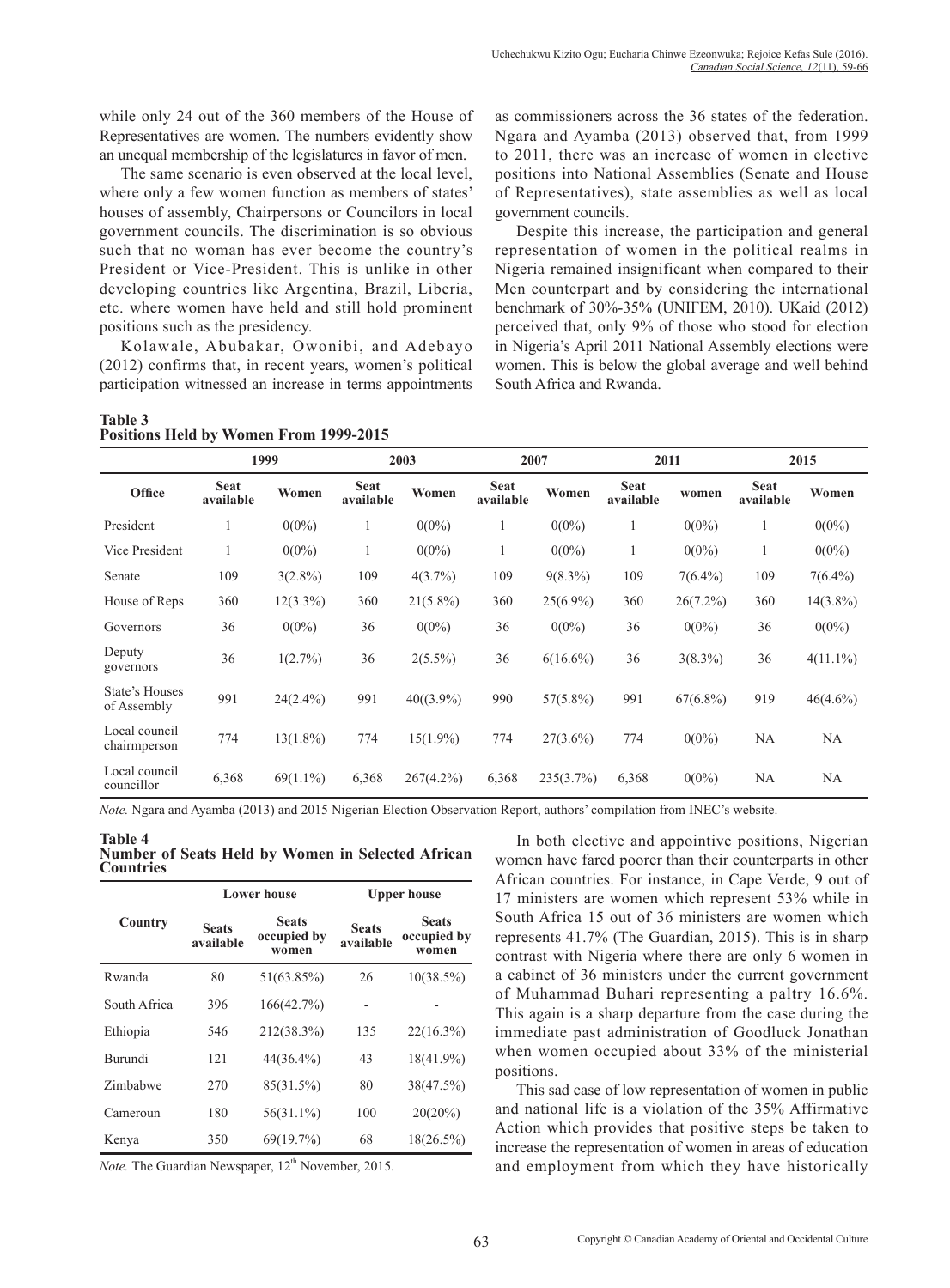while only 24 out of the 360 members of the House of Representatives are women. The numbers evidently show an unequal membership of the legislatures in favor of men.

The same scenario is even observed at the local level, where only a few women function as members of states' houses of assembly, Chairpersons or Councilors in local government councils. The discrimination is so obvious such that no woman has ever become the country's President or Vice-President. This is unlike in other developing countries like Argentina, Brazil, Liberia, etc. where women have held and still hold prominent positions such as the presidency.

Kolawale, Abubakar, Owonibi, and Adebayo (2012) confirms that, in recent years, women's political participation witnessed an increase in terms appointments

#### **Table 3 Positions Held by Women From 1999-2015**

as commissioners across the 36 states of the federation. Ngara and Ayamba (2013) observed that, from 1999 to 2011, there was an increase of women in elective positions into National Assemblies (Senate and House of Representatives), state assemblies as well as local government councils.

Despite this increase, the participation and general representation of women in the political realms in Nigeria remained insignificant when compared to their Men counterpart and by considering the international benchmark of 30%-35% (UNIFEM, 2010). UKaid (2012) perceived that, only 9% of those who stood for election in Nigeria's April 2011 National Assembly elections were women. This is below the global average and well behind South Africa and Rwanda.

|                               |                          | 1999        |                          | 2003         |                          | 2007        |                          | 2011        |                          | 2015        |
|-------------------------------|--------------------------|-------------|--------------------------|--------------|--------------------------|-------------|--------------------------|-------------|--------------------------|-------------|
| Office                        | <b>Seat</b><br>available | Women       | <b>Seat</b><br>available | Women        | <b>Seat</b><br>available | Women       | <b>Seat</b><br>available | women       | <b>Seat</b><br>available | Women       |
| President                     |                          | $0(0\%)$    |                          | $0(0\%)$     |                          | $0(0\%)$    |                          | $0(0\%)$    | 1                        | $0(0\%)$    |
| Vice President                | 1                        | $0(0\%)$    | 1                        | $0(0\%)$     | 1                        | $0(0\%)$    | $\mathbf{I}$             | $0(0\%)$    | 1                        | $0(0\%)$    |
| Senate                        | 109                      | $3(2.8\%)$  | 109                      | 4(3.7%)      | 109                      | $9(8.3\%)$  | 109                      | $7(6.4\%)$  | 109                      | $7(6.4\%)$  |
| House of Reps                 | 360                      | $12(3.3\%)$ | 360                      | $21(5.8\%)$  | 360                      | $25(6.9\%)$ | 360                      | $26(7.2\%)$ | 360                      | $14(3.8\%)$ |
| Governors                     | 36                       | $0(0\%)$    | 36                       | $0(0\%)$     | 36                       | $0(0\%)$    | 36                       | $0(0\%)$    | 36                       | $0(0\%)$    |
| Deputy<br>governors           | 36                       | 1(2.7%)     | 36                       | $2(5.5\%)$   | 36                       | $6(16.6\%)$ | 36                       | $3(8.3\%)$  | 36                       | $4(11.1\%)$ |
| State's Houses<br>of Assembly | 991                      | $24(2.4\%)$ | 991                      | $40((3.9\%)$ | 990                      | $57(5.8\%)$ | 991                      | $67(6.8\%)$ | 919                      | $46(4.6\%)$ |
| Local council<br>chairmperson | 774                      | $13(1.8\%)$ | 774                      | $15(1.9\%)$  | 774                      | $27(3.6\%)$ | 774                      | $0(0\%)$    | NA                       | NA          |
| Local council<br>councillor   | 6,368                    | $69(1.1\%)$ | 6,368                    | $267(4.2\%)$ | 6,368                    | 235(3.7%)   | 6,368                    | $0(0\%)$    | NA                       | <b>NA</b>   |

*Note.* Ngara and Ayamba (2013) and 2015 Nigerian Election Observation Report, authors' compilation from INEC's website.

**Table 4 Number of Seats Held by Women in Selected African Countries**

|                |                                                                   | <b>Lower house</b> | <b>Upper house</b>        |                                      |  |
|----------------|-------------------------------------------------------------------|--------------------|---------------------------|--------------------------------------|--|
| Country        | <b>Seats</b><br><b>Seats</b><br>occupied by<br>available<br>women |                    | <b>Seats</b><br>available | <b>Seats</b><br>occupied by<br>women |  |
| Rwanda         | 80                                                                | 51(63.85%)         | 26                        | $10(38.5\%)$                         |  |
| South Africa   | 396                                                               | 166(42.7%)         |                           |                                      |  |
| Ethiopia       | 546                                                               | 212(38.3%)         | 135                       | $22(16.3\%)$                         |  |
| <b>Burundi</b> | 12.1                                                              | 44(36.4%)          | 43                        | 18(41.9%)                            |  |
| Zimbabwe       | 270                                                               | 85(31.5%)          | 80                        | 38(47.5%)                            |  |
| Cameroun       | 180                                                               | $56(31.1\%)$       | 100                       | $20(20\%)$                           |  |
| Kenya          | 350                                                               | 69(19.7%)          | 68                        | $18(26.5\%)$                         |  |

*Note.* The Guardian Newspaper, 12<sup>th</sup> November, 2015.

In both elective and appointive positions, Nigerian women have fared poorer than their counterparts in other African countries. For instance, in Cape Verde, 9 out of 17 ministers are women which represent 53% while in South Africa 15 out of 36 ministers are women which represents 41.7% (The Guardian, 2015). This is in sharp contrast with Nigeria where there are only 6 women in a cabinet of 36 ministers under the current government of Muhammad Buhari representing a paltry 16.6%. This again is a sharp departure from the case during the immediate past administration of Goodluck Jonathan when women occupied about 33% of the ministerial positions.

This sad case of low representation of women in public and national life is a violation of the 35% Affirmative Action which provides that positive steps be taken to increase the representation of women in areas of education and employment from which they have historically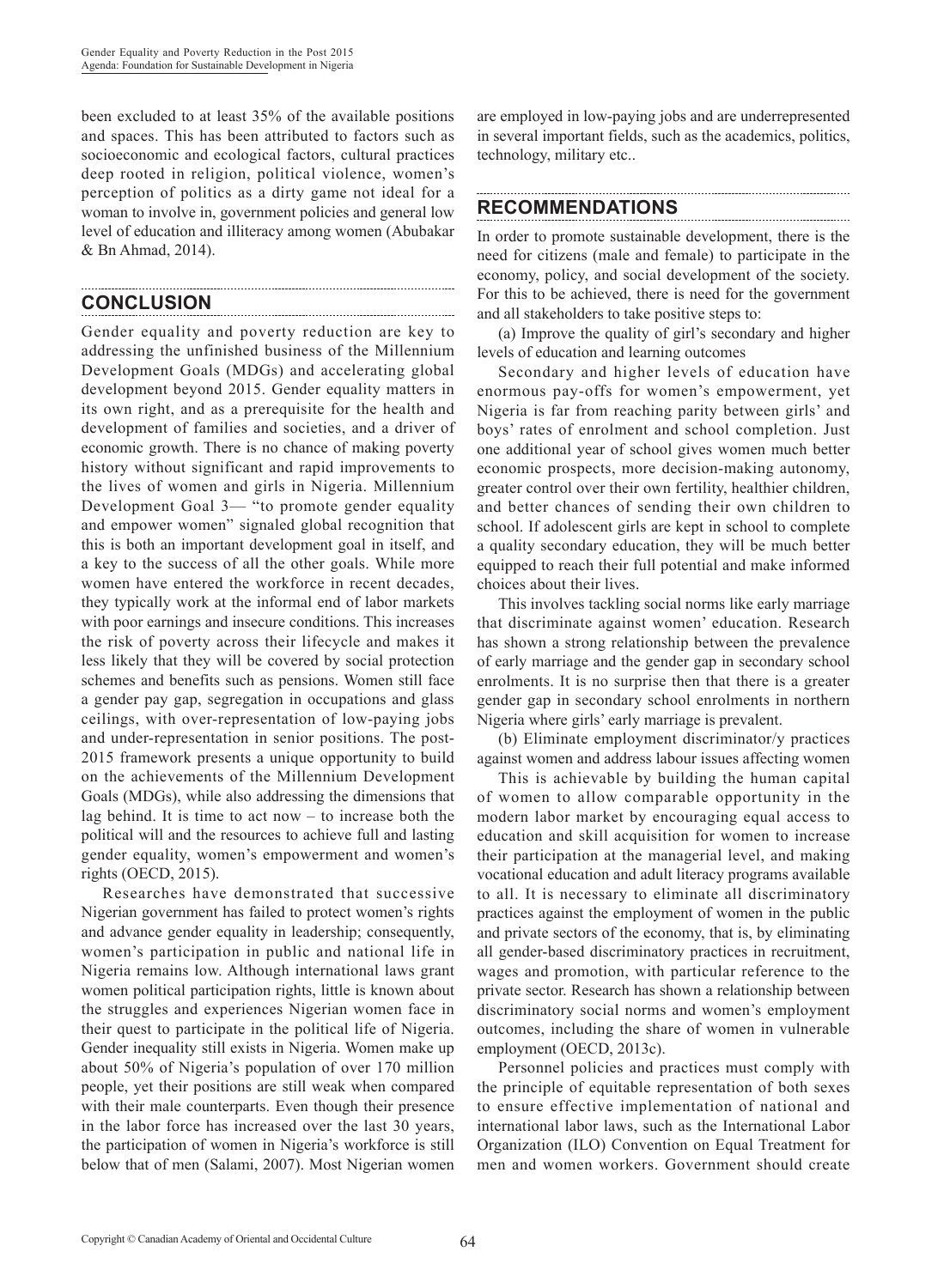been excluded to at least 35% of the available positions and spaces. This has been attributed to factors such as socioeconomic and ecological factors, cultural practices deep rooted in religion, political violence, women's perception of politics as a dirty game not ideal for a woman to involve in, government policies and general low level of education and illiteracy among women (Abubakar & Bn Ahmad, 2014).

# **CONCLUSION**

Gender equality and poverty reduction are key to addressing the unfinished business of the Millennium Development Goals (MDGs) and accelerating global development beyond 2015. Gender equality matters in its own right, and as a prerequisite for the health and development of families and societies, and a driver of economic growth. There is no chance of making poverty history without significant and rapid improvements to the lives of women and girls in Nigeria. Millennium Development Goal 3— "to promote gender equality and empower women" signaled global recognition that this is both an important development goal in itself, and a key to the success of all the other goals. While more women have entered the workforce in recent decades, they typically work at the informal end of labor markets with poor earnings and insecure conditions. This increases the risk of poverty across their lifecycle and makes it less likely that they will be covered by social protection schemes and benefits such as pensions. Women still face a gender pay gap, segregation in occupations and glass ceilings, with over-representation of low-paying jobs and under-representation in senior positions. The post-2015 framework presents a unique opportunity to build on the achievements of the Millennium Development Goals (MDGs), while also addressing the dimensions that lag behind. It is time to act now  $-$  to increase both the political will and the resources to achieve full and lasting gender equality, women's empowerment and women's rights (OECD, 2015).

Researches have demonstrated that successive Nigerian government has failed to protect women's rights and advance gender equality in leadership; consequently, women's participation in public and national life in Nigeria remains low. Although international laws grant women political participation rights, little is known about the struggles and experiences Nigerian women face in their quest to participate in the political life of Nigeria. Gender inequality still exists in Nigeria. Women make up about 50% of Nigeria's population of over 170 million people, yet their positions are still weak when compared with their male counterparts. Even though their presence in the labor force has increased over the last 30 years, the participation of women in Nigeria's workforce is still below that of men (Salami, 2007). Most Nigerian women are employed in low-paying jobs and are underrepresented in several important fields, such as the academics, politics, technology, military etc..

## **RECOMMENDATIONS**

In order to promote sustainable development, there is the need for citizens (male and female) to participate in the economy, policy, and social development of the society. For this to be achieved, there is need for the government and all stakeholders to take positive steps to:

(a) Improve the quality of girl's secondary and higher levels of education and learning outcomes

Secondary and higher levels of education have enormous pay-offs for women's empowerment, yet Nigeria is far from reaching parity between girls' and boys' rates of enrolment and school completion. Just one additional year of school gives women much better economic prospects, more decision-making autonomy, greater control over their own fertility, healthier children, and better chances of sending their own children to school. If adolescent girls are kept in school to complete a quality secondary education, they will be much better equipped to reach their full potential and make informed choices about their lives.

This involves tackling social norms like early marriage that discriminate against women' education. Research has shown a strong relationship between the prevalence of early marriage and the gender gap in secondary school enrolments. It is no surprise then that there is a greater gender gap in secondary school enrolments in northern Nigeria where girls' early marriage is prevalent.

(b) Eliminate employment discriminator/y practices against women and address labour issues affecting women

This is achievable by building the human capital of women to allow comparable opportunity in the modern labor market by encouraging equal access to education and skill acquisition for women to increase their participation at the managerial level, and making vocational education and adult literacy programs available to all. It is necessary to eliminate all discriminatory practices against the employment of women in the public and private sectors of the economy, that is, by eliminating all gender-based discriminatory practices in recruitment, wages and promotion, with particular reference to the private sector. Research has shown a relationship between discriminatory social norms and women's employment outcomes, including the share of women in vulnerable employment (OECD, 2013c).

Personnel policies and practices must comply with the principle of equitable representation of both sexes to ensure effective implementation of national and international labor laws, such as the International Labor Organization (ILO) Convention on Equal Treatment for men and women workers. Government should create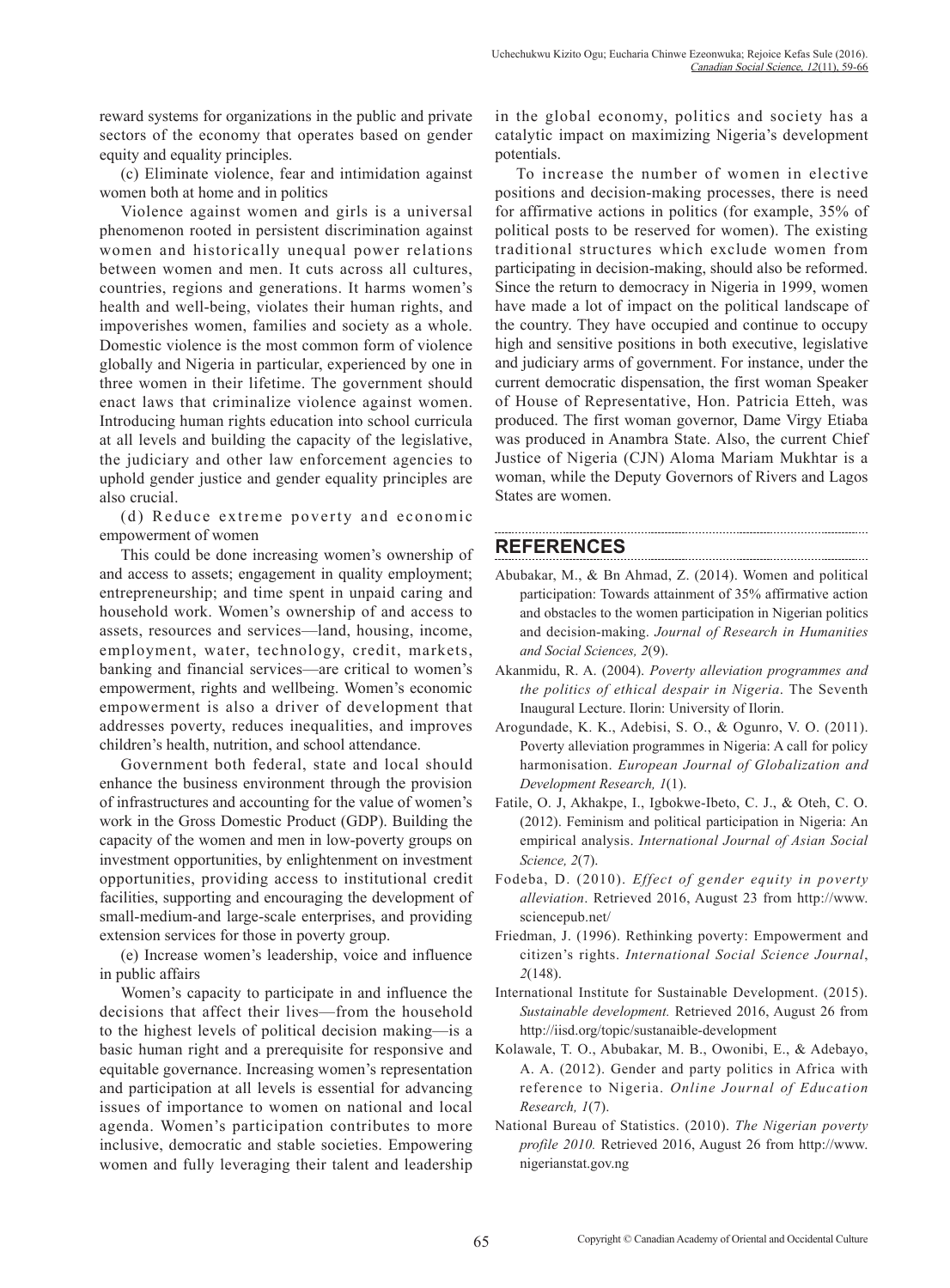reward systems for organizations in the public and private sectors of the economy that operates based on gender equity and equality principles.

(c) Eliminate violence, fear and intimidation against women both at home and in politics

Violence against women and girls is a universal phenomenon rooted in persistent discrimination against women and historically unequal power relations between women and men. It cuts across all cultures, countries, regions and generations. It harms women's health and well-being, violates their human rights, and impoverishes women, families and society as a whole. Domestic violence is the most common form of violence globally and Nigeria in particular, experienced by one in three women in their lifetime. The government should enact laws that criminalize violence against women. Introducing human rights education into school curricula at all levels and building the capacity of the legislative, the judiciary and other law enforcement agencies to uphold gender justice and gender equality principles are also crucial.

(d) Reduce extreme poverty and economic empowerment of women

This could be done increasing women's ownership of and access to assets; engagement in quality employment; entrepreneurship; and time spent in unpaid caring and household work. Women's ownership of and access to assets, resources and services—land, housing, income, employment, water, technology, credit, markets, banking and financial services—are critical to women's empowerment, rights and wellbeing. Women's economic empowerment is also a driver of development that addresses poverty, reduces inequalities, and improves children's health, nutrition, and school attendance.

Government both federal, state and local should enhance the business environment through the provision of infrastructures and accounting for the value of women's work in the Gross Domestic Product (GDP). Building the capacity of the women and men in low-poverty groups on investment opportunities, by enlightenment on investment opportunities, providing access to institutional credit facilities, supporting and encouraging the development of small-medium-and large-scale enterprises, and providing extension services for those in poverty group.

(e) Increase women's leadership, voice and influence in public affairs

Women's capacity to participate in and influence the decisions that affect their lives—from the household to the highest levels of political decision making—is a basic human right and a prerequisite for responsive and equitable governance. Increasing women's representation and participation at all levels is essential for advancing issues of importance to women on national and local agenda. Women's participation contributes to more inclusive, democratic and stable societies. Empowering women and fully leveraging their talent and leadership in the global economy, politics and society has a catalytic impact on maximizing Nigeria's development potentials.

To increase the number of women in elective positions and decision-making processes, there is need for affirmative actions in politics (for example, 35% of political posts to be reserved for women). The existing traditional structures which exclude women from participating in decision-making, should also be reformed. Since the return to democracy in Nigeria in 1999, women have made a lot of impact on the political landscape of the country. They have occupied and continue to occupy high and sensitive positions in both executive, legislative and judiciary arms of government. For instance, under the current democratic dispensation, the first woman Speaker of House of Representative, Hon. Patricia Etteh, was produced. The first woman governor, Dame Virgy Etiaba was produced in Anambra State. Also, the current Chief Justice of Nigeria (CJN) Aloma Mariam Mukhtar is a woman, while the Deputy Governors of Rivers and Lagos States are women.

# **REFERENCES**

- Abubakar, M., & Bn Ahmad, Z. (2014). Women and political participation: Towards attainment of 35% affirmative action and obstacles to the women participation in Nigerian politics and decision-making. *Journal of Research in Humanities and Social Sciences, 2*(9).
- Akanmidu, R. A. (2004). *Poverty alleviation programmes and the politics of ethical despair in Nigeria*. The Seventh Inaugural Lecture. Ilorin: University of Ilorin.
- Arogundade, K. K., Adebisi, S. O., & Ogunro, V. O. (2011). Poverty alleviation programmes in Nigeria: A call for policy harmonisation. *European Journal of Globalization and Development Research, 1*(1).
- Fatile, O. J, Akhakpe, I., Igbokwe-Ibeto, C. J., & Oteh, C. O. (2012). Feminism and political participation in Nigeria: An empirical analysis. *International Journal of Asian Social Science, 2*(7).
- Fodeba, D. (2010). *Effect of gender equity in poverty alleviation*. Retrieved 2016, August 23 from http://www. sciencepub.net/
- Friedman, J. (1996). Rethinking poverty: Empowerment and citizen's rights. *International Social Science Journal*, *2*(148).
- International Institute for Sustainable Development. (2015). *Sustainable development.* Retrieved 2016, August 26 from http://iisd.org/topic/sustanaible-development
- Kolawale, T. O., Abubakar, M. B., Owonibi, E., & Adebayo, A. A. (2012). Gender and party politics in Africa with reference to Nigeria. *Online Journal of Education Research, 1*(7).
- National Bureau of Statistics. (2010). *The Nigerian poverty profile 2010.* Retrieved 2016, August 26 from http://www. nigerianstat.gov.ng